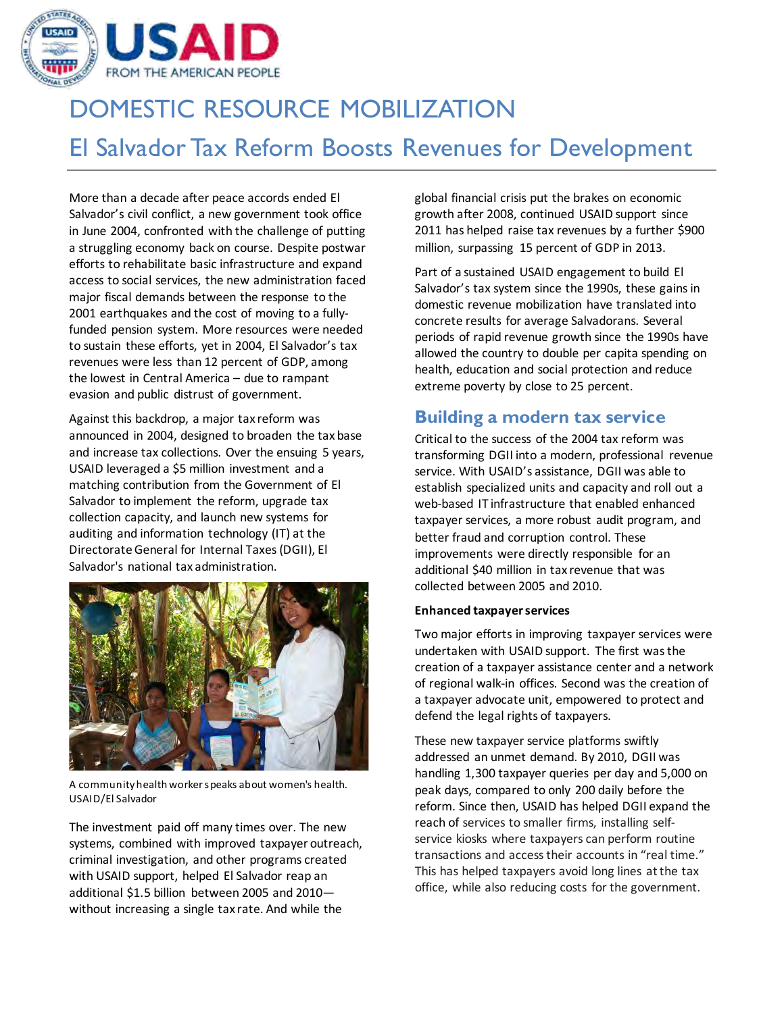

# DOMESTIC RESOURCE MOBILIZATION El Salvador Tax Reform Boosts Revenues for Development

More than a decade after peace accords ended El Salvador's civil conflict, a new government took office in June 2004, confronted with the challenge of putting a struggling economy back on course. Despite postwar efforts to rehabilitate basic infrastructure and expand access to social services, the new administration faced major fiscal demands between the response to the 2001 earthquakes and the cost of moving to a fullyfunded pension system. More resources were needed to sustain these efforts, yet in 2004, El Salvador's tax revenues were less than 12 percent of GDP, among the lowest in Central America – due to rampant evasion and public distrust of government.

Against this backdrop, a major tax reform was announced in 2004, designed to broaden the tax base and increase tax collections. Over the ensuing 5 years, USAID leveraged a \$5 million investment and a matching contribution from the Government of El Salvador to implement the reform, upgrade tax collection capacity, and launch new systems for auditing and information technology (IT) at the Directorate General for Internal Taxes (DGII), El Salvador's national tax administration.



A community health worker speaks about women's health. USAID/El Salvador

The investment paid off many times over. The new systems, combined with improved taxpayer outreach, criminal investigation, and other programs created with USAID support, helped El Salvador reap an additional \$1.5 billion between 2005 and 2010 without increasing a single tax rate. And while the

global financial crisis put the brakes on economic growth after 2008, continued USAID support since 2011 has helped raise tax revenues by a further \$900 million, surpassing 15 percent of GDP in 2013.

Part of a sustained USAID engagement to build El Salvador's tax system since the 1990s, these gains in domestic revenue mobilization have translated into concrete results for average Salvadorans. Several periods of rapid revenue growth since the 1990s have allowed the country to double per capita spending on health, education and social protection and reduce extreme poverty by close to 25 percent.

## **Building a modern tax service**

Critical to the success of the 2004 tax reform was transforming DGII into a modern, professional revenue service. With USAID's assistance, DGII was able to establish specialized units and capacity and roll out a web-based IT infrastructure that enabled enhanced taxpayer services, a more robust audit program, and better fraud and corruption control. These improvements were directly responsible for an additional \$40 million in tax revenue that was collected between 2005 and 2010.

#### **Enhanced taxpayer services**

Two major efforts in improving taxpayer services were undertaken with USAID support. The first was the creation of a taxpayer assistance center and a network of regional walk-in offices. Second was the creation of a taxpayer advocate unit, empowered to protect and defend the legal rights of taxpayers.

These new taxpayer service platforms swiftly addressed an unmet demand. By 2010, DGII was handling 1,300 taxpayer queries per day and 5,000 on peak days, compared to only 200 daily before the reform. Since then, USAID has helped DGII expand the reach of services to smaller firms, installing selfservice kiosks where taxpayers can perform routine transactions and access their accounts in "real time." This has helped taxpayers avoid long lines at the tax office, while also reducing costs for the government.